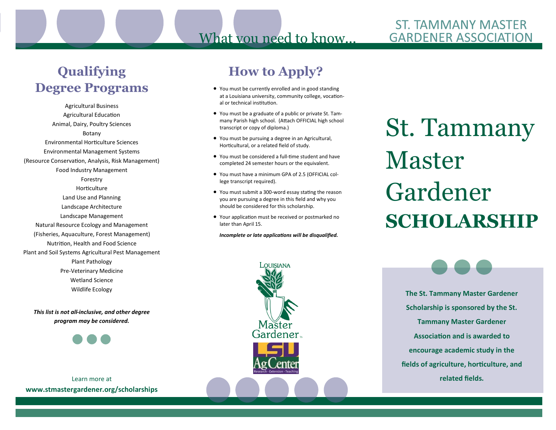### **ST. TAMMANY MASTER GARDENER ASSOCIATION**

# **Qualifying Degree Programs**

Agricultural Business Agricultural Education Animal, Dairy, Poultry Sciences Botany Environmental Horticulture Sciences Environmental Management Systems (Resource Conservation, Analysis, Risk Management) Food Industry Management Forestry Horticulture Land Use and Planning Landscape Architecture Landscape Management Natural Resource Ecology and Management (Fisheries, Aquaculture, Forest Management) Nutrition, Health and Food Science Plant and Soil Systems Agricultural Pest Management Plant Pathology Pre-Veterinary Medicine Wetland Science Wildlife Ecology

*This list is not all-inclusive, and other degree program may be considered.*

Learn more at **www.stmastergardener.org/scholarships**

## **How to Apply?**

What you need to know...

- You must be currently enrolled and in good standing at a Louisiana university, community college, vocational or technical institution.
- You must be a graduate of a public or private St. Tammany Parish high school. (Attach OFFICIAL high school transcript or copy of diploma.)
- You must be pursuing a degree in an Agricultural, Horticultural, or a related field of study.
- You must be considered a full-time student and have completed 24 semester hours or the equivalent.
- You must have a minimum GPA of 2.5 (OFFICIAL college transcript required).
- You must submit a 300-word essay stating the reason you are pursuing a degree in this field and why you should be considered for this scholarship.
- Your application must be received or postmarked no later than April 15.

*Incomplete or late applications will be disqualified.* 

LOUISIANA

St. Tammany Master Gardener **SCHOLARSHIP**

> **The St. Tammany Master Gardener Scholarship is sponsored by the St. Tammany Master Gardener Association and is awarded to encourage academic study in the fields of agriculture, horticulture, and related fields.**